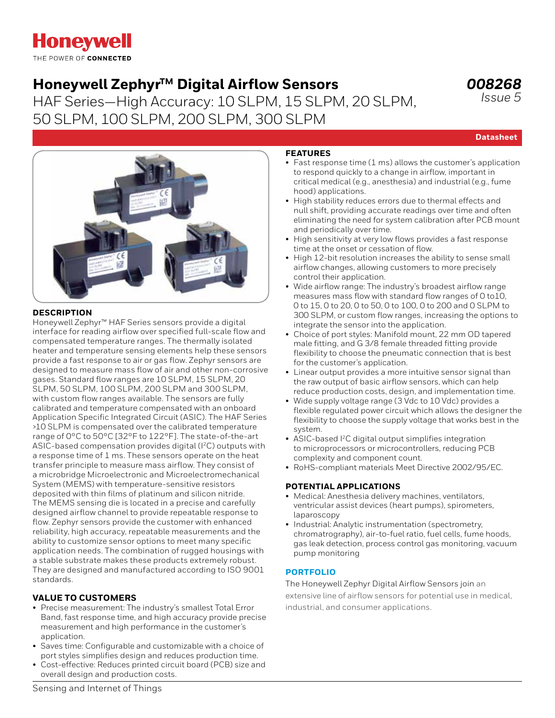# **Honeywell** THE POWER OF CONNECTED

# Honeywell Zephyr<sup>™</sup> Digital Airflow Sensors

HAF Series—High Accuracy: 10 SLPM, 15 SLPM, 20 SLPM, 50 SLPM, 100 SLPM, 200 SLPM, 300 SLPM

*008268 Issue 5*

**Datasheet**

## **DESCRIPTION**

Honeywell Zephyr™ HAF Series sensors provide a digital interface for reading airflow over specified full-scale flow and compensated temperature ranges. The thermally isolated heater and temperature sensing elements help these sensors provide a fast response to air or gas flow. Zephyr sensors are designed to measure mass flow of air and other non-corrosive gases. Standard flow ranges are 10 SLPM, 15 SLPM, 20 SLPM, 50 SLPM, 100 SLPM, 200 SLPM and 300 SLPM, with custom flow ranges available. The sensors are fully calibrated and temperature compensated with an onboard Application Specific Integrated Circuit (ASIC). The HAF Series >10 SLPM is compensated over the calibrated temperature range of 0°C to 50°C [32°F to 122°F]. The state-of-the-art ASIC-based compensation provides digital (I<sup>2</sup>C) outputs with a response time of 1 ms. These sensors operate on the heat transfer principle to measure mass airflow. They consist of a microbridge Microelectronic and Microelectromechanical System (MEMS) with temperature-sensitive resistors deposited with thin films of platinum and silicon nitride. The MEMS sensing die is located in a precise and carefully designed airflow channel to provide repeatable response to flow. Zephyr sensors provide the customer with enhanced reliability, high accuracy, repeatable measurements and the ability to customize sensor options to meet many specific application needs. The combination of rugged housings with a stable substrate makes these products extremely robust. They are designed and manufactured according to ISO 9001 standards.

### **VALUE TO CUSTOMERS**

- Precise measurement: The industry's smallest Total Error Band, fast response time, and high accuracy provide precise measurement and high performance in the customer's application.
- Saves time: Configurable and customizable with a choice of port styles simplifies design and reduces production time.
- Cost-effective: Reduces printed circuit board (PCB) size and overall design and production costs.

### **FEATURES**

- Fast response time (1 ms) allows the customer's application to respond quickly to a change in airflow, important in critical medical (e.g., anesthesia) and industrial (e.g., fume hood) applications.
- High stability reduces errors due to thermal effects and null shift, providing accurate readings over time and often eliminating the need for system calibration after PCB mount and periodically over time.
- High sensitivity at very low flows provides a fast response time at the onset or cessation of flow.
- High 12-bit resolution increases the ability to sense small airflow changes, allowing customers to more precisely control their application.
- Wide airflow range: The industry's broadest airflow range measures mass flow with standard flow ranges of 0 to10, 0 to 15, 0 to 20, 0 to 50, 0 to 100, 0 to 200 and 0 SLPM to 300 SLPM, or custom flow ranges, increasing the options to integrate the sensor into the application.
- Choice of port styles: Manifold mount, 22 mm OD tapered male fitting, and G 3/8 female threaded fitting provide flexibility to choose the pneumatic connection that is best for the customer's application.
- Linear output provides a more intuitive sensor signal than the raw output of basic airflow sensors, which can help reduce production costs, design, and implementation time.
- Wide supply voltage range (3 Vdc to 10 Vdc) provides a flexible regulated power circuit which allows the designer the flexibility to choose the supply voltage that works best in the system.
- ASIC-based I2C digital output simplifies integration to microprocessors or microcontrollers, reducing PCB complexity and component count.
- RoHS-compliant materials Meet Directive 2002/95/EC.

### **POTENTIAL APPLICATIONS**

- Medical: Anesthesia delivery machines, ventilators, ventricular assist devices (heart pumps), spirometers, laparoscopy
- Industrial: Analytic instrumentation (spectrometry, chromatrography), air-to-fuel ratio, fuel cells, fume hoods, gas leak detection, process control gas monitoring, vacuum pump monitoring

### **[PORTFOLIO](https://sensing.honeywell.com/sensors/airflow-sensors/HAF-high-accuracy-10SLPM-300SLPM)**

The Honeywell Zephyr Digital Airflow Sensors join an extensive line of airflow sensors for potential use in medical, industrial, and consumer applications.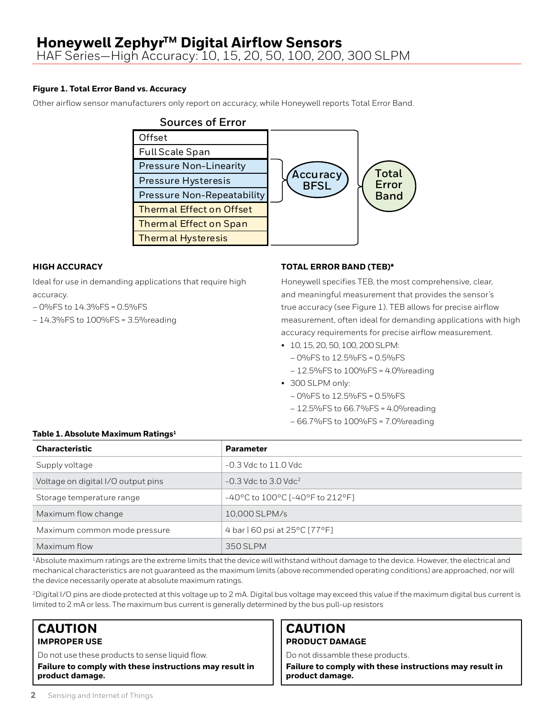### **Figure 1. Total Error Band vs. Accuracy**

Other airflow sensor manufacturers only report on accuracy, while Honeywell reports Total Error Band.

| <b>Sources of Error</b>           |                         |              |
|-----------------------------------|-------------------------|--------------|
| Offset                            |                         |              |
| <b>Full Scale Span</b>            |                         |              |
| <b>Pressure Non-Linearity</b>     |                         | <b>Total</b> |
| Pressure Hysteresis               | Accuracy<br><b>BFSL</b> | Error        |
| <b>Pressure Non-Repeatability</b> |                         | <b>Band</b>  |
| <b>Thermal Effect on Offset</b>   |                         |              |
| <b>Thermal Effect on Span</b>     |                         |              |
| <b>Thermal Hysteresis</b>         |                         |              |

### **HIGH ACCURACY**

Ideal for use in demanding applications that require high accuracy.

– 0%FS to 14.3%FS = 0.5%FS

– 14.3%FS to 100%FS = 3.5%reading

### **TOTAL ERROR BAND (TEB)\***

Honeywell specifies TEB, the most comprehensive, clear, and meaningful measurement that provides the sensor's true accuracy (see Figure 1). TEB allows for precise airflow measurement, often ideal for demanding applications with high accuracy requirements for precise airflow measurement.

- 10, 15, 20, 50, 100, 200 SLPM:
	- 0%FS to 12.5%FS = 0.5%FS
	- 12.5%FS to 100%FS = 4.0%reading
- 300 SLPM only:
	- 0%FS to 12.5%FS = 0.5%FS
	- 12.5%FS to 66.7%FS = 4.0%reading
	- 66.7%FS to 100%FS = 7.0%reading

### **Table 1. Absolute Maximum Ratings1**

| <b>Characteristic</b>              | <b>Parameter</b>                                                           |
|------------------------------------|----------------------------------------------------------------------------|
| Supply voltage                     | $-0.3$ Vdc to $11.0$ Vdc                                                   |
| Voltage on digital I/O output pins | $-0.3$ Vdc to $3.0$ Vdc <sup>2</sup>                                       |
| Storage temperature range          | $-40^{\circ}$ C to 100 $^{\circ}$ C [-40 $^{\circ}$ F to 212 $^{\circ}$ F] |
| Maximum flow change                | 10,000 SLPM/s                                                              |
| Maximum common mode pressure       | 4 bar   60 psi at 25°C [77°F]                                              |
| Maximum flow                       | 350 SLPM                                                                   |

1Absolute maximum ratings are the extreme limits that the device will withstand without damage to the device. However, the electrical and mechanical characteristics are not guaranteed as the maximum limits (above recommended operating conditions) are approached, nor will the device necessarily operate at absolute maximum ratings.

2Digital I/O pins are diode protected at this voltage up to 2 mA. Digital bus voltage may exceed this value if the maximum digital bus current is limited to 2 mA or less. The maximum bus current is generally determined by the bus pull-up resistors

# **CAUTION IMPROPER USE**

Do not use these products to sense liquid flow.

**Failure to comply with these instructions may result in product damage.**

### **CAUTION PRODUCT DAMAGE**

Do not dissamble these products.

**Failure to comply with these instructions may result in product damage.**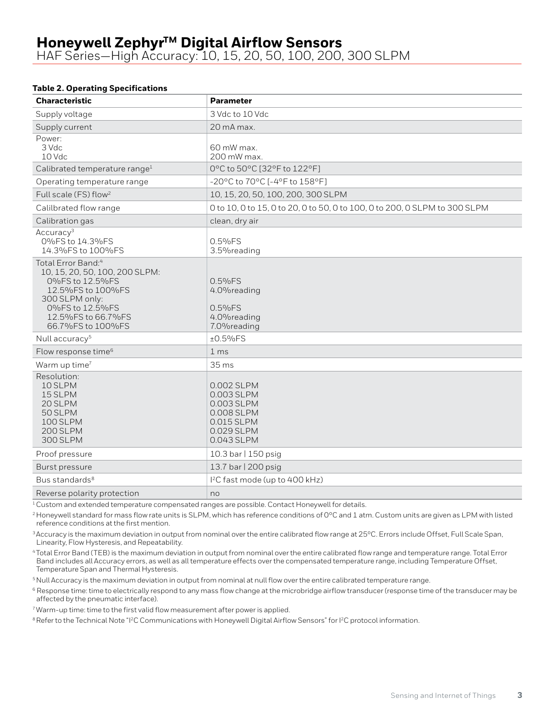### **Table 2. Operating Specifications**

| <b>Characteristic</b>                                                                                                                                                                    | <b>Parameter</b>                                                                               |
|------------------------------------------------------------------------------------------------------------------------------------------------------------------------------------------|------------------------------------------------------------------------------------------------|
| Supply voltage                                                                                                                                                                           | 3 Vdc to 10 Vdc                                                                                |
| Supply current                                                                                                                                                                           | 20 mA max.                                                                                     |
| Power:<br>3 Vdc<br>10 Vdc                                                                                                                                                                | 60 mW max.<br>200 mW max.                                                                      |
| Calibrated temperature range <sup>1</sup>                                                                                                                                                | 0°C to 50°C [32°F to 122°F]                                                                    |
| Operating temperature range                                                                                                                                                              | -20°C to 70°C [-4°F to 158°F]                                                                  |
| Full scale (FS) flow <sup>2</sup>                                                                                                                                                        | 10, 15, 20, 50, 100, 200, 300 SLPM                                                             |
| Calilbrated flow range                                                                                                                                                                   | 0 to 10, 0 to 15, 0 to 20, 0 to 50, 0 to 100, 0 to 200, 0 SLPM to 300 SLPM                     |
| Calibration gas                                                                                                                                                                          | clean, dry air                                                                                 |
| Accuracy <sup>3</sup><br>0%FS to 14.3%FS<br>14.3% FS to 100% FS                                                                                                                          | $0.5%$ FS<br>3.5% reading                                                                      |
| Total Error Band: <sup>4</sup><br>10, 15, 20, 50, 100, 200 SLPM:<br>0%FS to 12.5%FS<br>12.5%FS to 100%FS<br>300 SLPM only:<br>0%FS to 12.5%FS<br>12.5%FS to 66.7%FS<br>66.7%FS to 100%FS | 0.5%FS<br>4.0% reading<br>0.5%FS<br>4.0% reading<br>7.0% reading                               |
| Null accuracy <sup>5</sup>                                                                                                                                                               | $±0.5\%FS$                                                                                     |
| Flow response time <sup>6</sup>                                                                                                                                                          | 1 <sub>ms</sub>                                                                                |
| Warm up time <sup>7</sup>                                                                                                                                                                | 35 <sub>ms</sub>                                                                               |
| Resolution:<br>10 SLPM<br>15 SLPM<br>20 SLPM<br>50 SLPM<br>100 SLPM<br>200 SLPM<br><b>300 SLPM</b>                                                                                       | 0.002 SLPM<br>0.003 SLPM<br>0.003 SLPM<br>0.008 SLPM<br>0.015 SLPM<br>0.029 SLPM<br>0.043 SLPM |
| Proof pressure                                                                                                                                                                           | 10.3 bar   150 psig                                                                            |
| Burst pressure                                                                                                                                                                           | 13.7 bar   200 psig                                                                            |
| Bus standards <sup>8</sup>                                                                                                                                                               | I <sup>2</sup> C fast mode (up to 400 kHz)                                                     |
| Reverse polarity protection                                                                                                                                                              | no                                                                                             |

<sup>1</sup> Custom and extended temperature compensated ranges are possible. Contact Honeywell for details.

<sup>2</sup> Honeywell standard for mass flow rate units is SLPM, which has reference conditions of 0°C and 1 atm. Custom units are given as LPM with listed reference conditions at the first mention.

<sup>3</sup> Accuracy is the maximum deviation in output from nominal over the entire calibrated flow range at 25°C. Errors include Offset, Full Scale Span, Linearity, Flow Hysteresis, and Repeatability.

4 Total Error Band (TEB) is the maximum deviation in output from nominal over the entire calibrated flow range and temperature range. Total Error Band includes all Accuracy errors, as well as all temperature effects over the compensated temperature range, including Temperature Offset, Temperature Span and Thermal Hysteresis.

5 Null Accuracy is the maximum deviation in output from nominal at null flow over the entire calibrated temperature range.

<sup>6</sup> Response time: time to electrically respond to any mass flow change at the microbridge airflow transducer (response time of the transducer may be affected by the pneumatic interface).

7 Warm-up time: time to the first valid flow measurement after power is applied.

<sup>8</sup> Refer to the Technical Note "<sup>12</sup>C Communications with Honeywell Digital Airflow Sensors" for <sup>12</sup>C protocol information.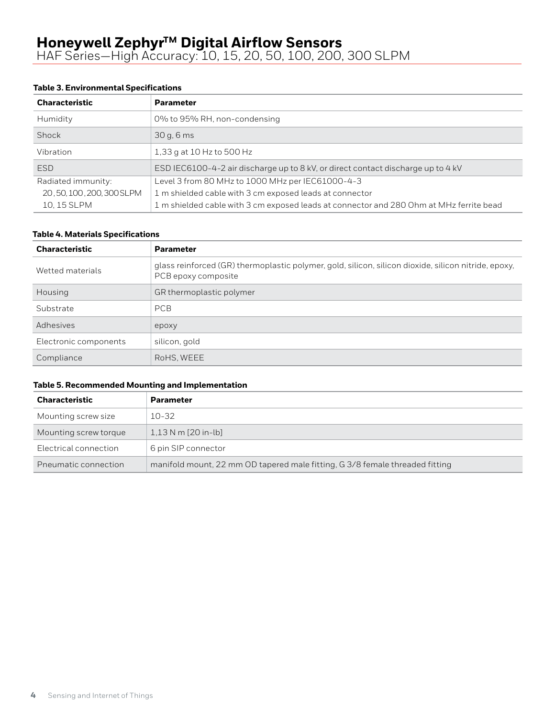### **Table 3. Environmental Specifications**

| <b>Characteristic</b>  | <b>Parameter</b>                                                                        |
|------------------------|-----------------------------------------------------------------------------------------|
| Humidity               | 0% to 95% RH, non-condensing                                                            |
| Shock                  | 30q, 6ms                                                                                |
| Vibration              | 1,33 g at 10 Hz to 500 Hz                                                               |
| <b>ESD</b>             | ESD IEC6100-4-2 air discharge up to 8 kV, or direct contact discharge up to 4 kV        |
| Radiated immunity:     | Level 3 from 80 MHz to 1000 MHz per IEC61000-4-3                                        |
| 20,50,100,200,300 SLPM | 1 m shielded cable with 3 cm exposed leads at connector                                 |
| 10, 15 SLPM            | 1 m shielded cable with 3 cm exposed leads at connector and 280 Ohm at MHz ferrite bead |

### **Table 4. Materials Specifications**

| <b>Characteristic</b> | <b>Parameter</b>                                                                                                            |
|-----------------------|-----------------------------------------------------------------------------------------------------------------------------|
| Wetted materials      | glass reinforced (GR) thermoplastic polymer, gold, silicon, silicon dioxide, silicon nitride, epoxy,<br>PCB epoxy composite |
| Housing               | GR thermoplastic polymer                                                                                                    |
| Substrate             | <b>PCB</b>                                                                                                                  |
| Adhesives             | epoxy                                                                                                                       |
| Electronic components | silicon, gold                                                                                                               |
| Compliance            | RoHS, WEEE                                                                                                                  |

### **Table 5. Recommended Mounting and Implementation**

| <b>Characteristic</b> | <b>Parameter</b>                                                             |
|-----------------------|------------------------------------------------------------------------------|
| Mounting screw size   | 10-32                                                                        |
| Mounting screw torque | $1,13$ N m [20 in-lb]                                                        |
| Electrical connection | 6 pin SIP connector                                                          |
| Pneumatic connection  | manifold mount, 22 mm OD tapered male fitting, G 3/8 female threaded fitting |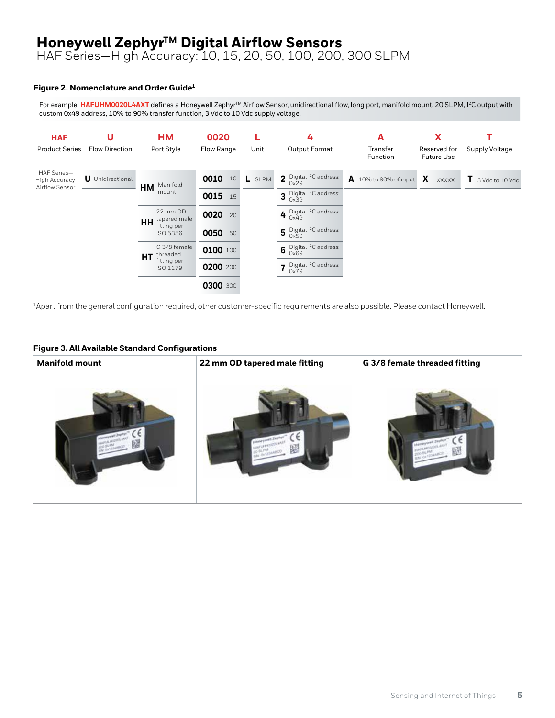# **Honeywell Zephyr™ Digital Airflow Sensors**

HAF Series—High Accuracy: 10, 15, 20, 50, 100, 200, 300 SLPM

### **Figure 2. Nomenclature and Order Guide1**

For example, **HAFUHM0020L4AXT** defines a Honeywell Zephyr™ Airflow Sensor, unidirectional flow, long port, manifold mount, 20 SLPM, I<sup>2</sup>C output with custom 0x49 address, 10% to 90% transfer function, 3 Vdc to 10 Vdc supply voltage.



1Apart from the general configuration required, other customer-specific requirements are also possible. Please contact Honeywell.

#### **Figure 3. All Available Standard Configurations**

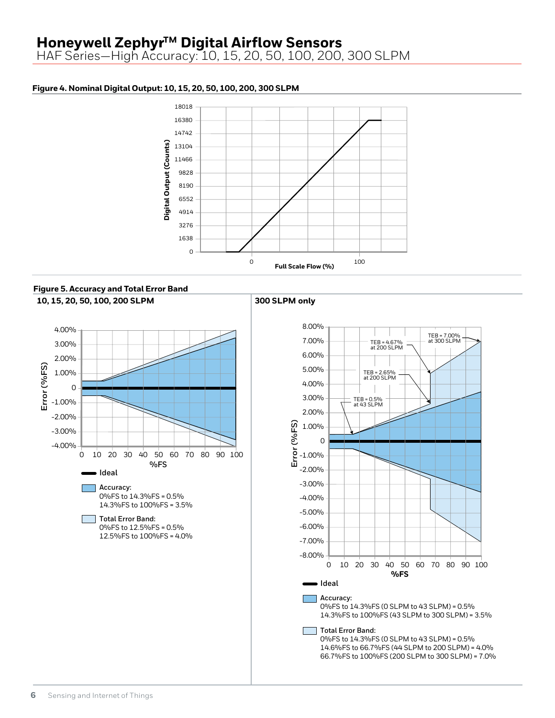# **Honeywell Zephyr™ Digital Airflow Sensors**

HAF Series—High Accuracy: 10, 15, 20, 50, 100, 200, 300 SLPM

### **Figure 4. Nominal Digital Output: 10, 15, 20, 50, 100, 200, 300 SLPM**



**Figure 5. Accuracy and Total Error Band 10, 15, 20, 50, 100, 200 SLPM 300 SLPM only**



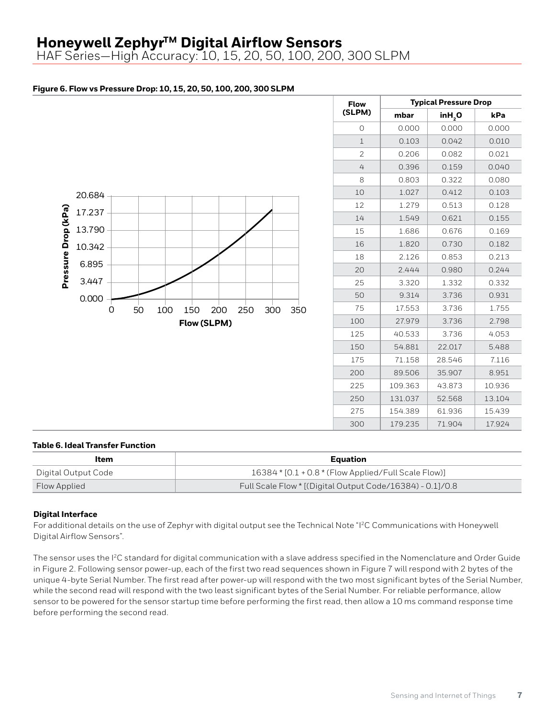# **Honeywell Zephyr™ Digital Airflow Sensors**

HAF Series—High Accuracy: 10, 15, 20, 50, 100, 200, 300 SLPM

### **Figure 6. Flow vs Pressure Drop: 10, 15, 20, 50, 100, 200, 300 SLPM**



| <b>Flow</b>    | <b>Typical Pressure Drop</b> |                    |        |  |  |
|----------------|------------------------------|--------------------|--------|--|--|
| (SLPM)         | mbar                         | inH <sub>2</sub> O | kPa    |  |  |
| 0              | 0.000                        | 0.000              | 0.000  |  |  |
| $\mathbf{1}$   | 0.103                        | 0.042              | 0.010  |  |  |
| $\mathfrak{D}$ | 0.206                        | 0.082              | 0.021  |  |  |
| 4              | 0.396                        | 0.159              | 0.040  |  |  |
| 8              | 0.803                        | 0.322              | 0.080  |  |  |
| 10             | 1.027                        | 0.412              | 0.103  |  |  |
| 12             | 1.279                        | 0.513              | 0.128  |  |  |
| 14             | 1.549                        | 0.621              | 0.155  |  |  |
| 15             | 1.686                        | 0.676              | 0.169  |  |  |
| 16             | 1.820                        | 0.730              | 0.182  |  |  |
| 18             | 2.126                        | 0.853              | 0.213  |  |  |
| 20             | 2.444<br>0.980               |                    | 0.244  |  |  |
| 25             | 3.320                        | 1.332              | 0.332  |  |  |
| 50             | 9.314                        | 3.736              | 0.931  |  |  |
| 75             | 17.553                       | 3.736              | 1.755  |  |  |
| 100            | 27.979                       | 3.736              | 2.798  |  |  |
| 125            | 40.533                       | 3.736              | 4.053  |  |  |
| 150            | 54.881                       | 22.017             | 5.488  |  |  |
| 175            | 71.158                       | 28.546             | 7.116  |  |  |
| 200            | 89.506                       | 35.907             | 8.951  |  |  |
| 225            | 109.363                      | 43.873             | 10.936 |  |  |
| 250            | 131.037                      | 52.568             | 13.104 |  |  |
| 275            | 154.389                      | 61.936             | 15.439 |  |  |
| 300            | 179.235                      | 71.904             | 17.924 |  |  |

#### **Table 6. Ideal Transfer Function**

| Item                | Equation                                                  |
|---------------------|-----------------------------------------------------------|
| Digital Output Code | 16384 * [0.1 + 0.8 * (Flow Applied/Full Scale Flow)]      |
| Flow Applied        | Full Scale Flow * [(Digital Output Code/16384) - 0.1]/0.8 |

#### **Digital Interface**

For additional details on the use of Zephyr with digital output see the Technical Note "I2C Communications with Honeywell Digital Airflow Sensors".

The sensor uses the I<sup>2</sup>C standard for digital communication with a slave address specified in the Nomenclature and Order Guide in Figure 2. Following sensor power-up, each of the first two read sequences shown in Figure 7 will respond with 2 bytes of the unique 4-byte Serial Number. The first read after power-up will respond with the two most significant bytes of the Serial Number, while the second read will respond with the two least significant bytes of the Serial Number. For reliable performance, allow sensor to be powered for the sensor startup time before performing the first read, then allow a 10 ms command response time before performing the second read.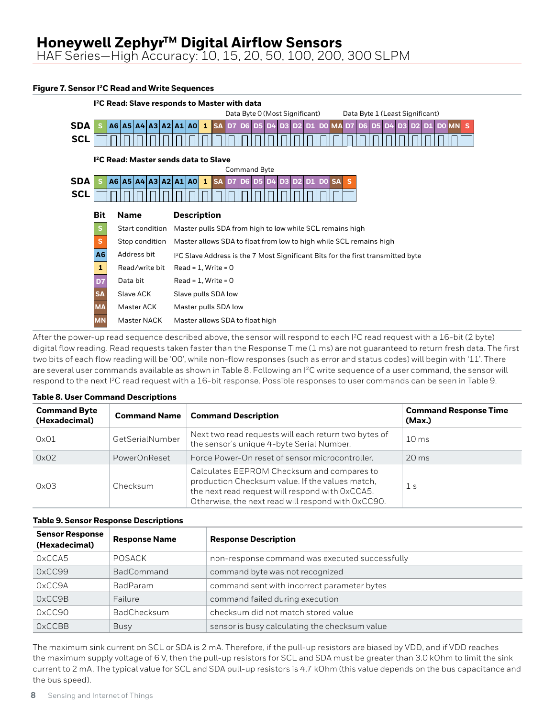#### **Figure 7. Sensor I2C Read and Write Sequences**



After the power-up read sequence described above, the sensor will respond to each I<sup>2</sup>C read request with a 16-bit (2 byte) digital flow reading. Read requests taken faster than the Response Time (1 ms) are not guaranteed to return fresh data. The first two bits of each flow reading will be '00', while non-flow responses (such as error and status codes) will begin with '11'. There are several user commands available as shown in Table 8. Following an  $l^2C$  write sequence of a user command, the sensor will respond to the next I2C read request with a 16-bit response. Possible responses to user commands can be seen in Table 9.

| <b>Command Byte</b><br>(Hexadecimal) | <b>Command Name</b> | <b>Command Description</b>                                                                                                                                                                             | <b>Command Response Time</b><br>(Max.) |
|--------------------------------------|---------------------|--------------------------------------------------------------------------------------------------------------------------------------------------------------------------------------------------------|----------------------------------------|
| 0x01                                 | GetSerialNumber     | Next two read requests will each return two bytes of<br>the sensor's unique 4-byte Serial Number.                                                                                                      | 10 <sub>ms</sub>                       |
| 0x02                                 | PowerOnReset        | Force Power-On reset of sensor microcontroller.                                                                                                                                                        | $20 \,\mathrm{ms}$                     |
| 0x03                                 | Checksum            | Calculates EEPROM Checksum and compares to<br>production Checksum value. If the values match,<br>the next read request will respond with OxCCA5.<br>Otherwise, the next read will respond with 0xCC90. | 1 <sub>s</sub>                         |

#### **Table 8. User Command Descriptions**

# **Table 9. Sensor Response Descriptions** 1

| <b>Sensor Response</b><br>(Hexadecimal) | <b>Response Name</b> | <b>Response Description</b>                    |
|-----------------------------------------|----------------------|------------------------------------------------|
| OxCCA5                                  | POSACK               | non-response command was executed successfully |
| OxCC99                                  | <b>BadCommand</b>    | command byte was not recognized                |
| OxCC9A                                  | <b>BadParam</b>      | command sent with incorrect parameter bytes    |
| OxCC9B                                  | Failure              | command failed during execution                |
| 0xCC90                                  | <b>BadChecksum</b>   | checksum did not match stored value            |
| OxCCBB                                  | Busy                 | sensor is busy calculating the checksum value  |

The maximum sink current on SCL or SDA is 2 mA. Therefore, if the pull-up resistors are biased by VDD, and if VDD reaches the maximum supply voltage of 6 V, then the pull-up resistors for SCL and SDA must be greater than 3.0 kOhm to limit the sink current to 2 mA. The typical value for SCL and SDA pull-up resistors is 4.7 kOhm (this value depends on the bus capacitance and the bus speed).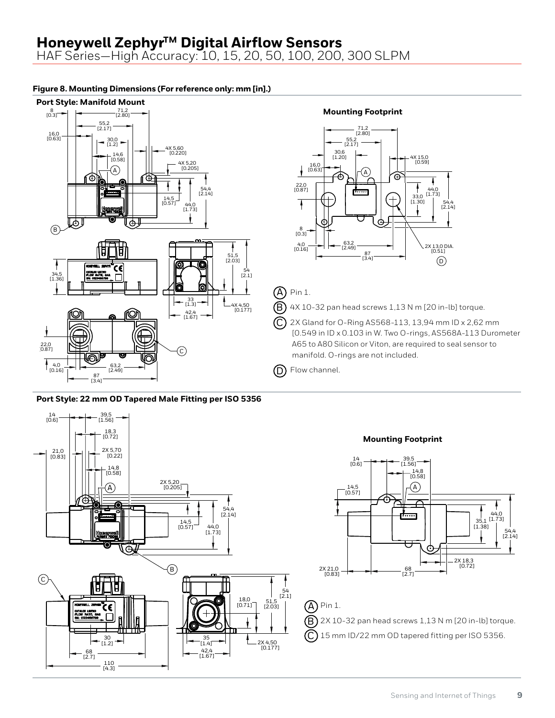HAF Series—High Accuracy: 10, 15, 20, 50, 100, 200, 300 SLPM

## **Figure 8. Mounting Dimensions (For reference only: mm [in].)**



**Port Style: 22 mm OD Tapered Male Fitting per ISO 5356**

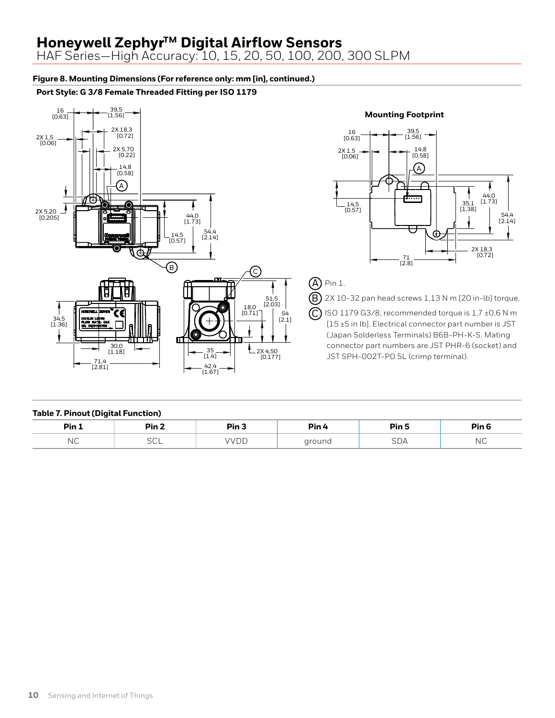# **Honeywell ZephyrTM Digital Airflow Sensors**

HAF Series—High Accuracy: 10, 15, 20, 50, 100, 200, 300 SLPM

### **Figure 8. Mounting Dimensions (For reference only: mm [in], continued.)**

### **Port Style: G 3/8 Female Threaded Fitting per ISO 1179**



### **Mounting Footprint**



### $\left(\mathsf{A}\right)$  Pin 1.

 $\left(\mathrm{B}\right)$  2X 10-32 pan head screws 1,13 N m [20 in-lb] torque.

 ISO 1179 G3/8, recommended torque is 1,7 ±0,6 N m [15 ±5 in lb]. Electrical connector part number is JST (Japan Solderless Terminals) B6B-PH-K-S. Mating connector part numbers are JST PHR-6 (socket) and JST SPH-002T-P0.5L (crimp terminal).

#### **Table 7. Pinout (Digital Function)**

| Pin 1 | Pin <sub>2</sub> | Pin | Pin 4  | Pin 5 | Pin <sub>6</sub> |
|-------|------------------|-----|--------|-------|------------------|
| NС    | - -<br>ーー        | ப   | around | JUA   | N V              |